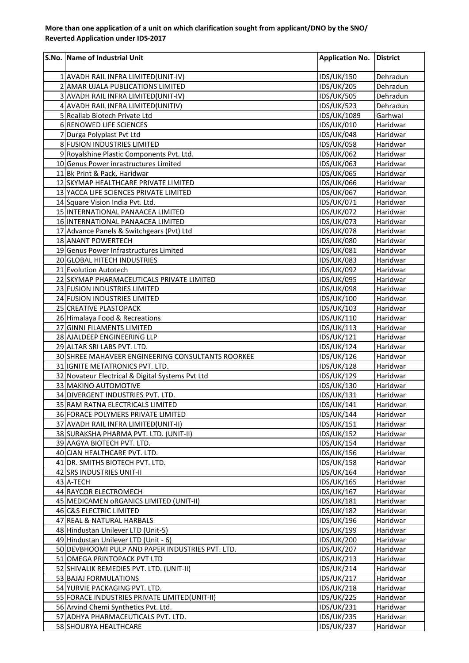## **More than one application of a unit on which clarification sought from applicant/DNO by the SNO/ Reverted Application under IDS-2017**

| S.No. Name of Industrial Unit                                | <b>Application No.</b>   | District             |
|--------------------------------------------------------------|--------------------------|----------------------|
| 1 AVADH RAIL INFRA LIMITED(UNIT-IV)                          | IDS/UK/150               | Dehradun             |
| 2 AMAR UJALA PUBLICATIONS LIMITED                            | <b>IDS/UK/205</b>        | Dehradun             |
| 3 AVADH RAIL INFRA LIMITED(UNIT-IV)                          | <b>IDS/UK/505</b>        | Dehradun             |
| 4 AVADH RAIL INFRA LIMITED(UNITIV)                           | <b>IDS/UK/523</b>        | Dehradun             |
| 5 Reallab Biotech Private Ltd                                | IDS/UK/1089              | Garhwal              |
| 6 RENOWED LIFE SCIENCES                                      | IDS/UK/010               | Haridwar             |
| 7 Durga Polyplast Pvt Ltd                                    | <b>IDS/UK/048</b>        | Haridwar             |
| 8 FUSION INDUSTRIES LIMITED                                  | <b>IDS/UK/058</b>        | Haridwar             |
| 9 Royalshine Plastic Components Pvt. Ltd.                    | IDS/UK/062               | Haridwar             |
| 10 Genus Power inrastructures Limited                        | IDS/UK/063               | Haridwar             |
| 11 Bk Print & Pack, Haridwar                                 | <b>IDS/UK/065</b>        | Haridwar             |
| 12 SKYMAP HEALTHCARE PRIVATE LIMITED                         | IDS/UK/066               | Haridwar             |
| 13 YACCA LIFE SCIENCES PRIVATE LIMITED                       | <b>IDS/UK/067</b>        | Haridwar             |
| 14 Square Vision India Pvt. Ltd.                             | IDS/UK/071               | Haridwar             |
| 15 INTERNATIONAL PANAACEA LIMITED                            | <b>IDS/UK/072</b>        | Haridwar             |
| 16 INTERNATIONAL PANAACEA LIMITED                            | <b>IDS/UK/073</b>        | Haridwar             |
| 17 Advance Panels & Switchgears (Pvt) Ltd                    | <b>IDS/UK/078</b>        | Haridwar             |
| 18 ANANT POWERTECH                                           | <b>IDS/UK/080</b>        | Haridwar             |
| 19 Genus Power Infrastructures Limited                       | IDS/UK/081               | Haridwar             |
| 20 GLOBAL HITECH INDUSTRIES                                  | <b>IDS/UK/083</b>        | Haridwar             |
| 21 Evolution Autotech                                        | IDS/UK/092               | Haridwar             |
| 22 SKYMAP PHARMACEUTICALS PRIVATE LIMITED                    | <b>IDS/UK/095</b>        | Haridwar             |
| 23 FUSION INDUSTRIES LIMITED                                 | <b>IDS/UK/098</b>        | Haridwar             |
| 24 FUSION INDUSTRIES LIMITED                                 | IDS/UK/100               | Haridwar             |
| 25 CREATIVE PLASTOPACK                                       | IDS/UK/103               | Haridwar             |
| 26 Himalaya Food & Recreations<br>27 GINNI FILAMENTS LIMITED | IDS/UK/110               | Haridwar<br>Haridwar |
| 28 AJALDEEP ENGINEERING LLP                                  | IDS/UK/113<br>IDS/UK/121 | Haridwar             |
| 29 ALTAR SRI LABS PVT. LTD.                                  | IDS/UK/124               | Haridwar             |
| 30 SHREE MAHAVEER ENGINEERING CONSULTANTS ROORKEE            | IDS/UK/126               | Haridwar             |
| 31 IGNITE METATRONICS PVT. LTD.                              | <b>IDS/UK/128</b>        | Haridwar             |
| 32 Novateur Electrical & Digital Systems Pvt Ltd             | IDS/UK/129               | Haridwar             |
| 33 MAKINO AUTOMOTIVE                                         | IDS/UK/130               | Haridwar             |
| 34 DIVERGENT INDUSTRIES PVT. LTD.                            | IDS/UK/131               | Haridwar             |
| 35 RAM RATNA ELECTRICALS LIMITED                             | <b>IDS/UK/141</b>        | Haridwar             |
| 36 FORACE POLYMERS PRIVATE LIMITED                           | <b>IDS/UK/144</b>        | Haridwar             |
| 37 AVADH RAIL INFRA LIMITED(UNIT-II)                         | IDS/UK/151               | Haridwar             |
| 38 SURAKSHA PHARMA PVT. LTD. (UNIT-II)                       | <b>IDS/UK/152</b>        | Haridwar             |
| 39 AAGYA BIOTECH PVT. LTD.                                   | <b>IDS/UK/154</b>        | Haridwar             |
| 40 CIAN HEALTHCARE PVT. LTD.                                 | <b>IDS/UK/156</b>        | Haridwar             |
| 41 DR. SMITHS BIOTECH PVT. LTD.                              | <b>IDS/UK/158</b>        | Haridwar             |
| 42 SRS INDUSTRIES UNIT-II                                    | IDS/UK/164               | Haridwar             |
| 43 A-TECH                                                    | IDS/UK/165               | Haridwar             |
| 44 RAYCOR ELECTROMECH                                        | IDS/UK/167               | Haridwar             |
| 45 MEDICAMEN ORGANICS LIMITED (UNIT-II)                      | IDS/UK/181               | Haridwar             |
| 46 C&S ELECTRIC LIMITED                                      | <b>IDS/UK/182</b>        | Haridwar             |
| 47 REAL & NATURAL HARBALS                                    | IDS/UK/196               | Haridwar             |
| 48 Hindustan Unilever LTD (Unit-5)                           | IDS/UK/199               | Haridwar             |
| 49 Hindustan Unilever LTD (Unit - 6)                         | IDS/UK/200               | Haridwar             |
| 50 DEVBHOOMI PULP AND PAPER INDUSTRIES PVT. LTD.             | <b>IDS/UK/207</b>        | Haridwar             |
| 51 OMEGA PRINTOPACK PVT LTD                                  | IDS/UK/213               | Haridwar             |
| 52 SHIVALIK REMEDIES PVT. LTD. (UNIT-II)                     | <b>IDS/UK/214</b>        | Haridwar             |
| 53 BAJAJ FORMULATIONS                                        | <b>IDS/UK/217</b>        | Haridwar             |
| 54 YURVIE PACKAGING PVT. LTD.                                | <b>IDS/UK/218</b>        | Haridwar             |
| 55 FORACE INDUSTRIES PRIVATE LIMITED(UNIT-II)                | <b>IDS/UK/225</b>        | Haridwar             |
| 56 Arvind Chemi Synthetics Pvt. Ltd.                         | IDS/UK/231               | Haridwar             |
| 57 ADHYA PHARMACEUTICALS PVT. LTD.                           | <b>IDS/UK/235</b>        | Haridwar             |
| 58 SHOURYA HEALTHCARE                                        | <b>IDS/UK/237</b>        | Haridwar             |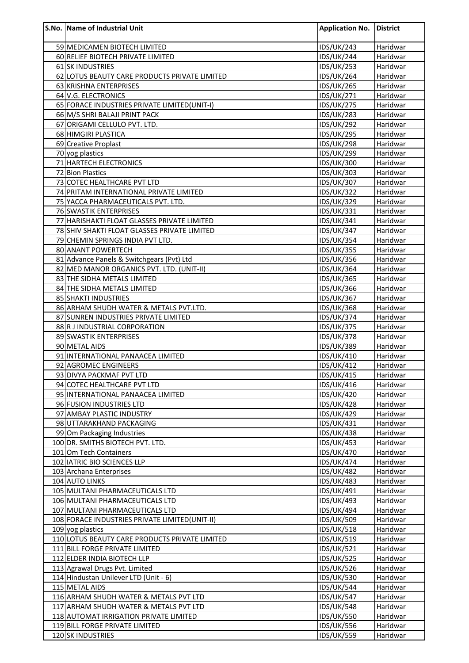| S.No. Name of Industrial Unit                                            | <b>Application No.</b>                 | <b>District</b>      |
|--------------------------------------------------------------------------|----------------------------------------|----------------------|
| 59 MEDICAMEN BIOTECH LIMITED                                             | <b>IDS/UK/243</b>                      | Haridwar             |
| 60 RELIEF BIOTECH PRIVATE LIMITED                                        | <b>IDS/UK/244</b>                      | Haridwar             |
| 61 SK INDUSTRIES                                                         | <b>IDS/UK/253</b>                      | Haridwar             |
| 62 LOTUS BEAUTY CARE PRODUCTS PRIVATE LIMITED                            | <b>IDS/UK/264</b>                      | Haridwar             |
| 63 KRISHNA ENTERPRISES                                                   | <b>IDS/UK/265</b>                      | Haridwar             |
| 64 V.G. ELECTRONICS                                                      | IDS/UK/271                             | Haridwar             |
| 65 FORACE INDUSTRIES PRIVATE LIMITED(UNIT-I)                             | <b>IDS/UK/275</b>                      | Haridwar             |
| 66 M/S SHRI BALAJI PRINT PACK                                            | <b>IDS/UK/283</b>                      | Haridwar             |
| 67 ORIGAMI CELLULO PVT. LTD.                                             | <b>IDS/UK/292</b>                      | Haridwar             |
| 68 HIMGIRI PLASTICA                                                      | <b>IDS/UK/295</b>                      | Haridwar             |
| 69 Creative Proplast<br>70 yog plastics                                  | IDS/UK/298<br><b>IDS/UK/299</b>        | Haridwar<br>Haridwar |
| 71 HARTECH ELECTRONICS                                                   | <b>IDS/UK/300</b>                      | Haridwar             |
| 72 Bion Plastics                                                         | <b>IDS/UK/303</b>                      | Haridwar             |
| 73 COTEC HEALTHCARE PVT LTD                                              | <b>IDS/UK/307</b>                      | Haridwar             |
| 74 PRITAM INTERNATIONAL PRIVATE LIMITED                                  | <b>IDS/UK/322</b>                      | Haridwar             |
| 75 YACCA PHARMACEUTICALS PVT. LTD.                                       | IDS/UK/329                             | Haridwar             |
| 76 SWASTIK ENTERPRISES                                                   | IDS/UK/331                             | Haridwar             |
| 77 HARISHAKTI FLOAT GLASSES PRIVATE LIMITED                              | IDS/UK/341                             | Haridwar             |
| 78 SHIV SHAKTI FLOAT GLASSES PRIVATE LIMITED                             | <b>IDS/UK/347</b>                      | Haridwar             |
| 79 CHEMIN SPRINGS INDIA PVT LTD.                                         | <b>IDS/UK/354</b>                      | Haridwar             |
| 80 ANANT POWERTECH                                                       | <b>IDS/UK/355</b>                      | Haridwar             |
| 81 Advance Panels & Switchgears (Pvt) Ltd                                | <b>IDS/UK/356</b>                      | Haridwar             |
| 82 MED MANOR ORGANICS PVT. LTD. (UNIT-II)                                | <b>IDS/UK/364</b>                      | Haridwar             |
| 83 THE SIDHA METALS LIMITED                                              | <b>IDS/UK/365</b>                      | Haridwar             |
| 84 THE SIDHA METALS LIMITED                                              | <b>IDS/UK/366</b>                      | Haridwar             |
| 85 SHAKTI INDUSTRIES                                                     | <b>IDS/UK/367</b>                      | Haridwar             |
| 86 ARHAM SHUDH WATER & METALS PVT.LTD.                                   | <b>IDS/UK/368</b>                      | Haridwar             |
| 87 SUNREN INDUSTRIES PRIVATE LIMITED<br>88 R J INDUSTRIAL CORPORATION    | <b>IDS/UK/374</b><br><b>IDS/UK/375</b> | Haridwar<br>Haridwar |
| 89 SWASTIK ENTERPRISES                                                   | <b>IDS/UK/378</b>                      | Haridwar             |
| 90 METAL AIDS                                                            | <b>IDS/UK/389</b>                      | Haridwar             |
| 91 INTERNATIONAL PANAACEA LIMITED                                        | <b>IDS/UK/410</b>                      | Haridwar             |
| 92 AGROMEC ENGINEERS                                                     | <b>IDS/UK/412</b>                      | Haridwar             |
| 93 DIVYA PACKMAF PVT LTD                                                 | <b>IDS/UK/415</b>                      | Haridwar             |
| 94 COTEC HEALTHCARE PVT LTD                                              | <b>IDS/UK/416</b>                      | Haridwar             |
| 95 INTERNATIONAL PANAACEA LIMITED                                        | <b>IDS/UK/420</b>                      | Haridwar             |
| 96 FUSION INDUSTRIES LTD                                                 | <b>IDS/UK/428</b>                      | Haridwar             |
| 97 AMBAY PLASTIC INDUSTRY                                                | <b>IDS/UK/429</b>                      | Haridwar             |
| 98 UTTARAKHAND PACKAGING                                                 | IDS/UK/431                             | Haridwar             |
| 99 Om Packaging Industries                                               | <b>IDS/UK/438</b>                      | Haridwar             |
| 100 DR. SMITHS BIOTECH PVT. LTD.<br>101 Om Tech Containers               | <b>IDS/UK/453</b><br>IDS/UK/470        | Haridwar<br>Haridwar |
| 102 IATRIC BIO SCIENCES LLP                                              | <b>IDS/UK/474</b>                      | Haridwar             |
| 103 Archana Enterprises                                                  | <b>IDS/UK/482</b>                      | Haridwar             |
| 104 AUTO LINKS                                                           | <b>IDS/UK/483</b>                      | Haridwar             |
| 105 MULTANI PHARMACEUTICALS LTD                                          | IDS/UK/491                             | Haridwar             |
| 106 MULTANI PHARMACEUTICALS LTD                                          | <b>IDS/UK/493</b>                      | Haridwar             |
| 107 MULTANI PHARMACEUTICALS LTD                                          | <b>IDS/UK/494</b>                      | Haridwar             |
| 108 FORACE INDUSTRIES PRIVATE LIMITED(UNIT-II)                           | <b>IDS/UK/509</b>                      | Haridwar             |
| 109 yog plastics                                                         | <b>IDS/UK/518</b>                      | Haridwar             |
| 110 LOTUS BEAUTY CARE PRODUCTS PRIVATE LIMITED                           | IDS/UK/519                             | Haridwar             |
| 111 BILL FORGE PRIVATE LIMITED                                           | <b>IDS/UK/521</b>                      | Haridwar             |
| 112 ELDER INDIA BIOTECH LLP                                              | <b>IDS/UK/525</b>                      | Haridwar             |
| 113 Agrawal Drugs Pvt. Limited                                           | <b>IDS/UK/526</b>                      | Haridwar             |
| 114 Hindustan Unilever LTD (Unit - 6)                                    | <b>IDS/UK/530</b>                      | Haridwar             |
| 115 METAL AIDS                                                           | <b>IDS/UK/544</b>                      | Haridwar             |
| 116 ARHAM SHUDH WATER & METALS PVT LTD                                   | <b>IDS/UK/547</b>                      | Haridwar             |
| 117 ARHAM SHUDH WATER & METALS PVT LTD                                   | <b>IDS/UK/548</b>                      | Haridwar             |
| 118 AUTOMAT IRRIGATION PRIVATE LIMITED<br>119 BILL FORGE PRIVATE LIMITED | <b>IDS/UK/550</b><br><b>IDS/UK/556</b> | Haridwar             |
| 120 SK INDUSTRIES                                                        | <b>IDS/UK/559</b>                      | Haridwar<br>Haridwar |